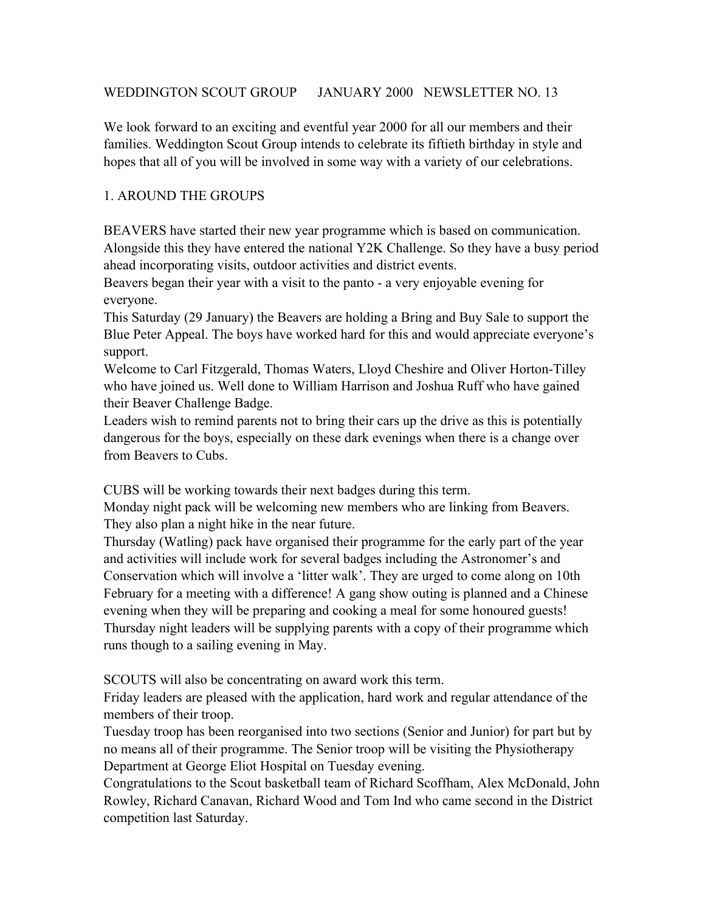# WEDDINGTON SCOUT GROUP JANUARY 2000 NEWSLETTER NO. 13

We look forward to an exciting and eventful year 2000 for all our members and their families. Weddington Scout Group intends to celebrate its fiftieth birthday in style and hopes that all of you will be involved in some way with a variety of our celebrations.

# 1. AROUND THE GROUPS

BEAVERS have started their new year programme which is based on communication. Alongside this they have entered the national Y2K Challenge. So they have a busy period ahead incorporating visits, outdoor activities and district events.

Beavers began their year with a visit to the panto - a very enjoyable evening for everyone.

This Saturday (29 January) the Beavers are holding a Bring and Buy Sale to support the Blue Peter Appeal. The boys have worked hard for this and would appreciate everyone's support.

Welcome to Carl Fitzgerald, Thomas Waters, Lloyd Cheshire and Oliver Horton-Tilley who have joined us. Well done to William Harrison and Joshua Ruff who have gained their Beaver Challenge Badge.

Leaders wish to remind parents not to bring their cars up the drive as this is potentially dangerous for the boys, especially on these dark evenings when there is a change over from Beavers to Cubs.

CUBS will be working towards their next badges during this term.

Monday night pack will be welcoming new members who are linking from Beavers. They also plan a night hike in the near future.

Thursday (Watling) pack have organised their programme for the early part of the year and activities will include work for several badges including the Astronomer's and Conservation which will involve a 'litter walk'. They are urged to come along on 10th February for a meeting with a difference! A gang show outing is planned and a Chinese evening when they will be preparing and cooking a meal for some honoured guests! Thursday night leaders will be supplying parents with a copy of their programme which runs though to a sailing evening in May.

SCOUTS will also be concentrating on award work this term.

Friday leaders are pleased with the application, hard work and regular attendance of the members of their troop.

Tuesday troop has been reorganised into two sections (Senior and Junior) for part but by no means all of their programme. The Senior troop will be visiting the Physiotherapy Department at George Eliot Hospital on Tuesday evening.

Congratulations to the Scout basketball team of Richard Scoffham, Alex McDonald, John Rowley, Richard Canavan, Richard Wood and Tom Ind who came second in the District competition last Saturday.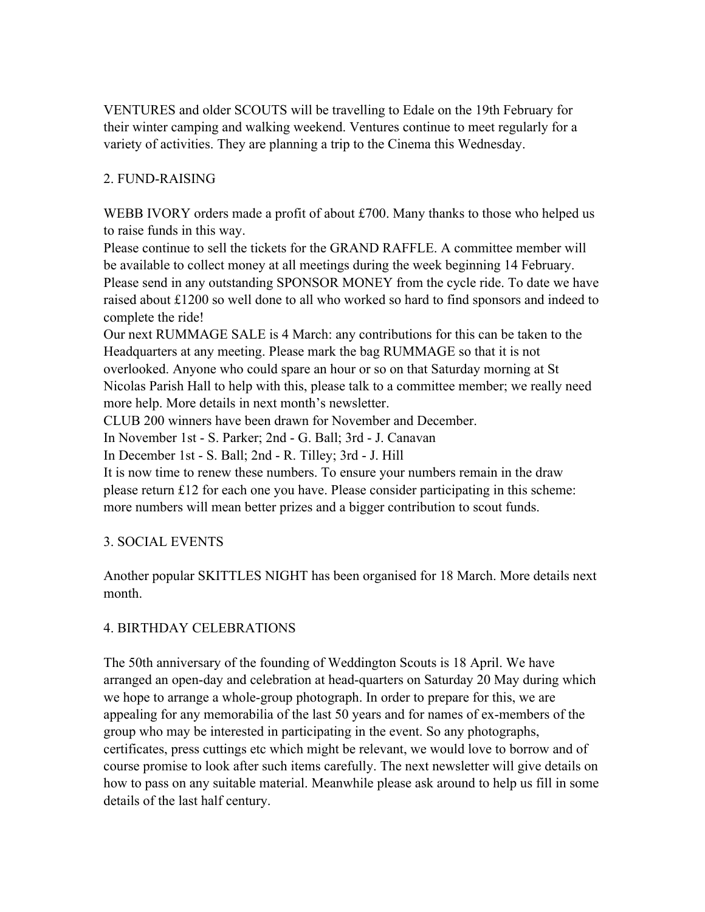VENTURES and older SCOUTS will be travelling to Edale on the 19th February for their winter camping and walking weekend. Ventures continue to meet regularly for a variety of activities. They are planning a trip to the Cinema this Wednesday.

# 2. FUND-RAISING

WEBB IVORY orders made a profit of about £700. Many thanks to those who helped us to raise funds in this way.

Please continue to sell the tickets for the GRAND RAFFLE. A committee member will be available to collect money at all meetings during the week beginning 14 February. Please send in any outstanding SPONSOR MONEY from the cycle ride. To date we have raised about £1200 so well done to all who worked so hard to find sponsors and indeed to complete the ride!

Our next RUMMAGE SALE is 4 March: any contributions for this can be taken to the Headquarters at any meeting. Please mark the bag RUMMAGE so that it is not overlooked. Anyone who could spare an hour or so on that Saturday morning at St Nicolas Parish Hall to help with this, please talk to a committee member; we really need more help. More details in next month's newsletter.

CLUB 200 winners have been drawn for November and December.

In November 1st - S. Parker; 2nd - G. Ball; 3rd - J. Canavan

In December 1st - S. Ball; 2nd - R. Tilley; 3rd - J. Hill

It is now time to renew these numbers. To ensure your numbers remain in the draw please return £12 for each one you have. Please consider participating in this scheme: more numbers will mean better prizes and a bigger contribution to scout funds.

# 3. SOCIAL EVENTS

Another popular SKITTLES NIGHT has been organised for 18 March. More details next month.

# 4. BIRTHDAY CELEBRATIONS

The 50th anniversary of the founding of Weddington Scouts is 18 April. We have arranged an open-day and celebration at head-quarters on Saturday 20 May during which we hope to arrange a whole-group photograph. In order to prepare for this, we are appealing for any memorabilia of the last 50 years and for names of ex-members of the group who may be interested in participating in the event. So any photographs, certificates, press cuttings etc which might be relevant, we would love to borrow and of course promise to look after such items carefully. The next newsletter will give details on how to pass on any suitable material. Meanwhile please ask around to help us fill in some details of the last half century.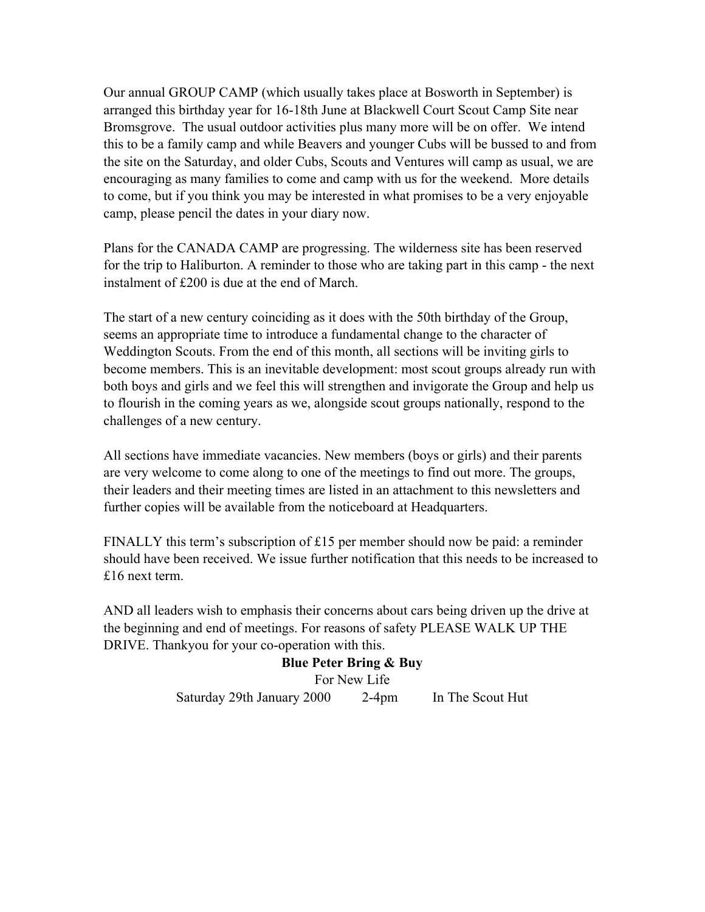Our annual GROUP CAMP (which usually takes place at Bosworth in September) is arranged this birthday year for 16-18th June at Blackwell Court Scout Camp Site near Bromsgrove. The usual outdoor activities plus many more will be on offer. We intend this to be a family camp and while Beavers and younger Cubs will be bussed to and from the site on the Saturday, and older Cubs, Scouts and Ventures will camp as usual, we are encouraging as many families to come and camp with us for the weekend. More details to come, but if you think you may be interested in what promises to be a very enjoyable camp, please pencil the dates in your diary now.

Plans for the CANADA CAMP are progressing. The wilderness site has been reserved for the trip to Haliburton. A reminder to those who are taking part in this camp - the next instalment of £200 is due at the end of March.

The start of a new century coinciding as it does with the 50th birthday of the Group, seems an appropriate time to introduce a fundamental change to the character of Weddington Scouts. From the end of this month, all sections will be inviting girls to become members. This is an inevitable development: most scout groups already run with both boys and girls and we feel this will strengthen and invigorate the Group and help us to flourish in the coming years as we, alongside scout groups nationally, respond to the challenges of a new century.

All sections have immediate vacancies. New members (boys or girls) and their parents are very welcome to come along to one of the meetings to find out more. The groups, their leaders and their meeting times are listed in an attachment to this newsletters and further copies will be available from the noticeboard at Headquarters.

FINALLY this term's subscription of £15 per member should now be paid: a reminder should have been received. We issue further notification that this needs to be increased to £16 next term.

AND all leaders wish to emphasis their concerns about cars being driven up the drive at the beginning and end of meetings. For reasons of safety PLEASE WALK UP THE DRIVE. Thankyou for your co-operation with this.

> **Blue Peter Bring & Buy** For New Life Saturday 29th January 2000 2-4pm In The Scout Hut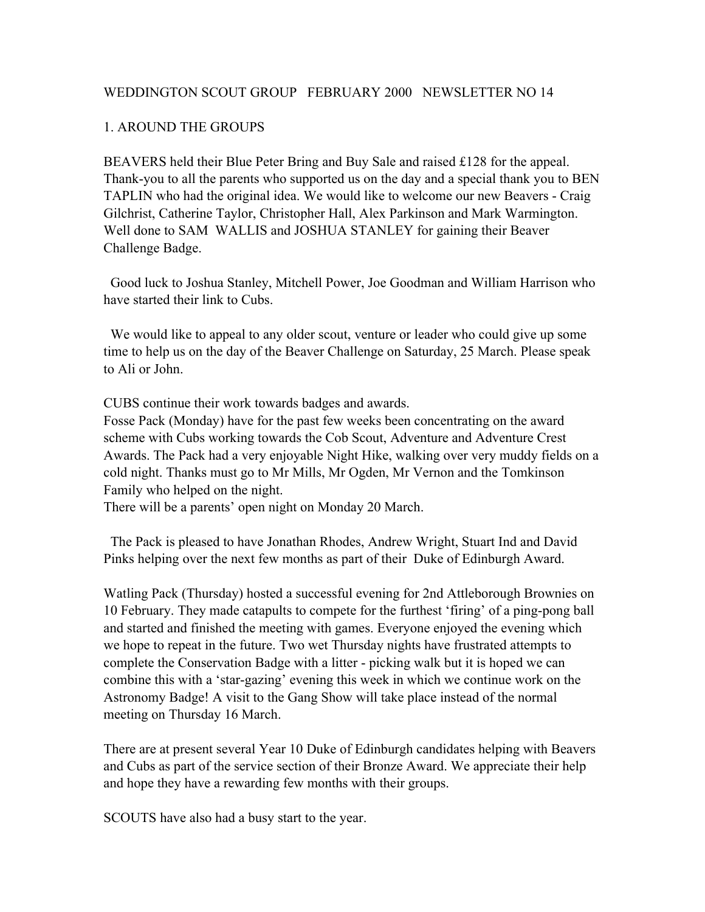#### WEDDINGTON SCOUT GROUP FEBRUARY 2000 NEWSLETTER NO 14

#### 1. AROUND THE GROUPS

BEAVERS held their Blue Peter Bring and Buy Sale and raised £128 for the appeal. Thank-you to all the parents who supported us on the day and a special thank you to BEN TAPLIN who had the original idea. We would like to welcome our new Beavers - Craig Gilchrist, Catherine Taylor, Christopher Hall, Alex Parkinson and Mark Warmington. Well done to SAM WALLIS and JOSHUA STANLEY for gaining their Beaver Challenge Badge.

 Good luck to Joshua Stanley, Mitchell Power, Joe Goodman and William Harrison who have started their link to Cubs.

 We would like to appeal to any older scout, venture or leader who could give up some time to help us on the day of the Beaver Challenge on Saturday, 25 March. Please speak to Ali or John.

CUBS continue their work towards badges and awards.

Fosse Pack (Monday) have for the past few weeks been concentrating on the award scheme with Cubs working towards the Cob Scout, Adventure and Adventure Crest Awards. The Pack had a very enjoyable Night Hike, walking over very muddy fields on a cold night. Thanks must go to Mr Mills, Mr Ogden, Mr Vernon and the Tomkinson Family who helped on the night.

There will be a parents' open night on Monday 20 March.

 The Pack is pleased to have Jonathan Rhodes, Andrew Wright, Stuart Ind and David Pinks helping over the next few months as part of their Duke of Edinburgh Award.

Watling Pack (Thursday) hosted a successful evening for 2nd Attleborough Brownies on 10 February. They made catapults to compete for the furthest 'firing' of a ping-pong ball and started and finished the meeting with games. Everyone enjoyed the evening which we hope to repeat in the future. Two wet Thursday nights have frustrated attempts to complete the Conservation Badge with a litter - picking walk but it is hoped we can combine this with a 'star-gazing' evening this week in which we continue work on the Astronomy Badge! A visit to the Gang Show will take place instead of the normal meeting on Thursday 16 March.

There are at present several Year 10 Duke of Edinburgh candidates helping with Beavers and Cubs as part of the service section of their Bronze Award. We appreciate their help and hope they have a rewarding few months with their groups.

SCOUTS have also had a busy start to the year.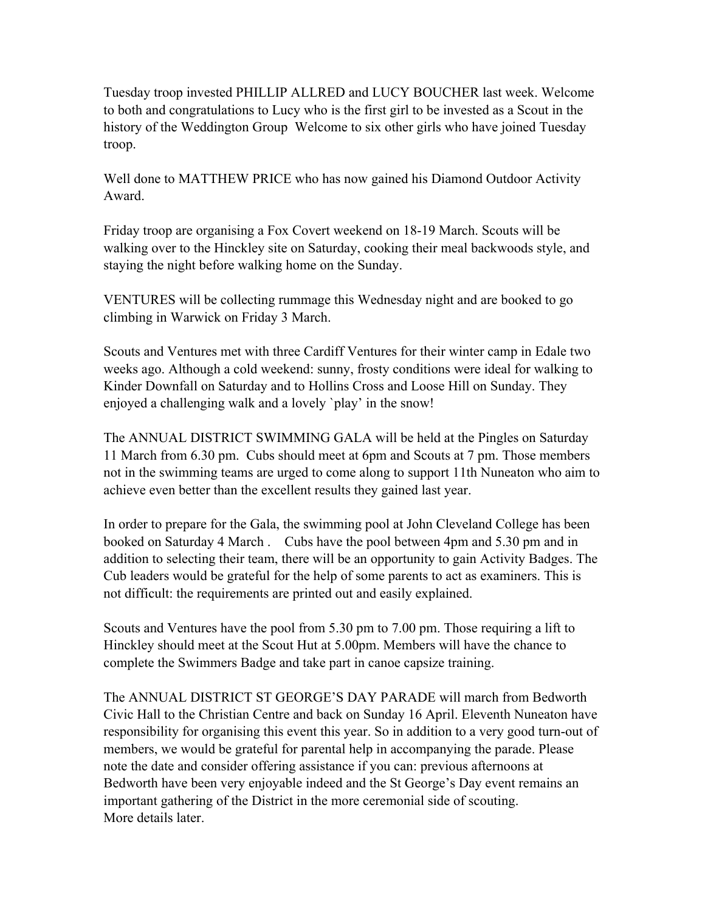Tuesday troop invested PHILLIP ALLRED and LUCY BOUCHER last week. Welcome to both and congratulations to Lucy who is the first girl to be invested as a Scout in the history of the Weddington Group Welcome to six other girls who have joined Tuesday troop.

Well done to MATTHEW PRICE who has now gained his Diamond Outdoor Activity Award.

Friday troop are organising a Fox Covert weekend on 18-19 March. Scouts will be walking over to the Hinckley site on Saturday, cooking their meal backwoods style, and staying the night before walking home on the Sunday.

VENTURES will be collecting rummage this Wednesday night and are booked to go climbing in Warwick on Friday 3 March.

Scouts and Ventures met with three Cardiff Ventures for their winter camp in Edale two weeks ago. Although a cold weekend: sunny, frosty conditions were ideal for walking to Kinder Downfall on Saturday and to Hollins Cross and Loose Hill on Sunday. They enjoyed a challenging walk and a lovely `play' in the snow!

The ANNUAL DISTRICT SWIMMING GALA will be held at the Pingles on Saturday 11 March from 6.30 pm. Cubs should meet at 6pm and Scouts at 7 pm. Those members not in the swimming teams are urged to come along to support 11th Nuneaton who aim to achieve even better than the excellent results they gained last year.

In order to prepare for the Gala, the swimming pool at John Cleveland College has been booked on Saturday 4 March . Cubs have the pool between 4pm and 5.30 pm and in addition to selecting their team, there will be an opportunity to gain Activity Badges. The Cub leaders would be grateful for the help of some parents to act as examiners. This is not difficult: the requirements are printed out and easily explained.

Scouts and Ventures have the pool from 5.30 pm to 7.00 pm. Those requiring a lift to Hinckley should meet at the Scout Hut at 5.00pm. Members will have the chance to complete the Swimmers Badge and take part in canoe capsize training.

The ANNUAL DISTRICT ST GEORGE'S DAY PARADE will march from Bedworth Civic Hall to the Christian Centre and back on Sunday 16 April. Eleventh Nuneaton have responsibility for organising this event this year. So in addition to a very good turn-out of members, we would be grateful for parental help in accompanying the parade. Please note the date and consider offering assistance if you can: previous afternoons at Bedworth have been very enjoyable indeed and the St George's Day event remains an important gathering of the District in the more ceremonial side of scouting. More details later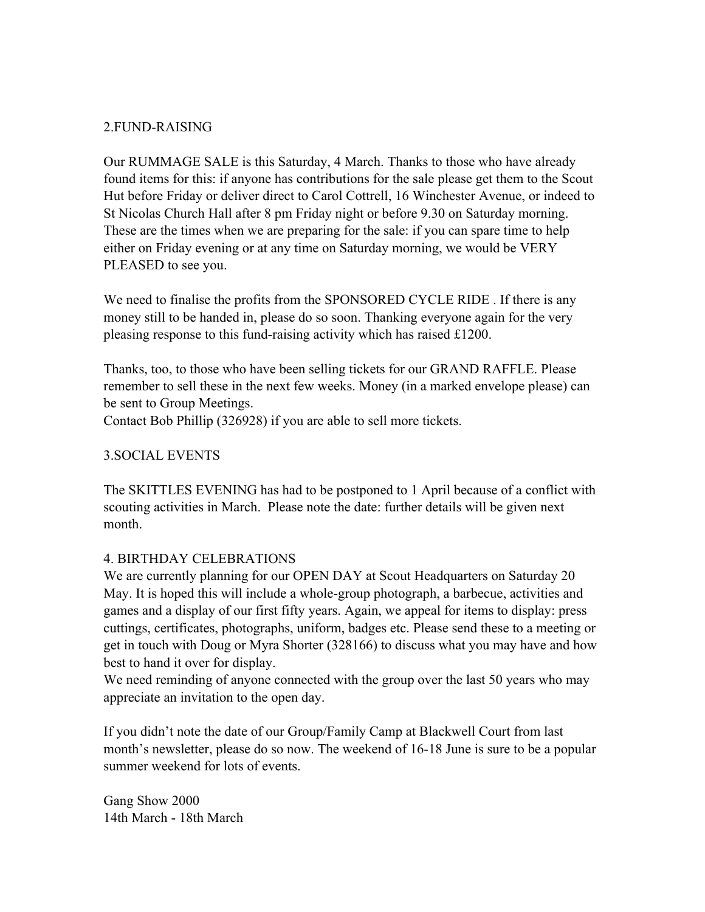# 2.FUND-RAISING

Our RUMMAGE SALE is this Saturday, 4 March. Thanks to those who have already found items for this: if anyone has contributions for the sale please get them to the Scout Hut before Friday or deliver direct to Carol Cottrell, 16 Winchester Avenue, or indeed to St Nicolas Church Hall after 8 pm Friday night or before 9.30 on Saturday morning. These are the times when we are preparing for the sale: if you can spare time to help either on Friday evening or at any time on Saturday morning, we would be VERY PLEASED to see you.

We need to finalise the profits from the SPONSORED CYCLE RIDE. If there is any money still to be handed in, please do so soon. Thanking everyone again for the very pleasing response to this fund-raising activity which has raised £1200.

Thanks, too, to those who have been selling tickets for our GRAND RAFFLE. Please remember to sell these in the next few weeks. Money (in a marked envelope please) can be sent to Group Meetings.

Contact Bob Phillip (326928) if you are able to sell more tickets.

# 3.SOCIAL EVENTS

The SKITTLES EVENING has had to be postponed to 1 April because of a conflict with scouting activities in March. Please note the date: further details will be given next month.

## 4. BIRTHDAY CELEBRATIONS

We are currently planning for our OPEN DAY at Scout Headquarters on Saturday 20 May. It is hoped this will include a whole-group photograph, a barbecue, activities and games and a display of our first fifty years. Again, we appeal for items to display: press cuttings, certificates, photographs, uniform, badges etc. Please send these to a meeting or get in touch with Doug or Myra Shorter (328166) to discuss what you may have and how best to hand it over for display.

We need reminding of anyone connected with the group over the last 50 years who may appreciate an invitation to the open day.

If you didn't note the date of our Group/Family Camp at Blackwell Court from last month's newsletter, please do so now. The weekend of 16-18 June is sure to be a popular summer weekend for lots of events.

Gang Show 2000 14th March - 18th March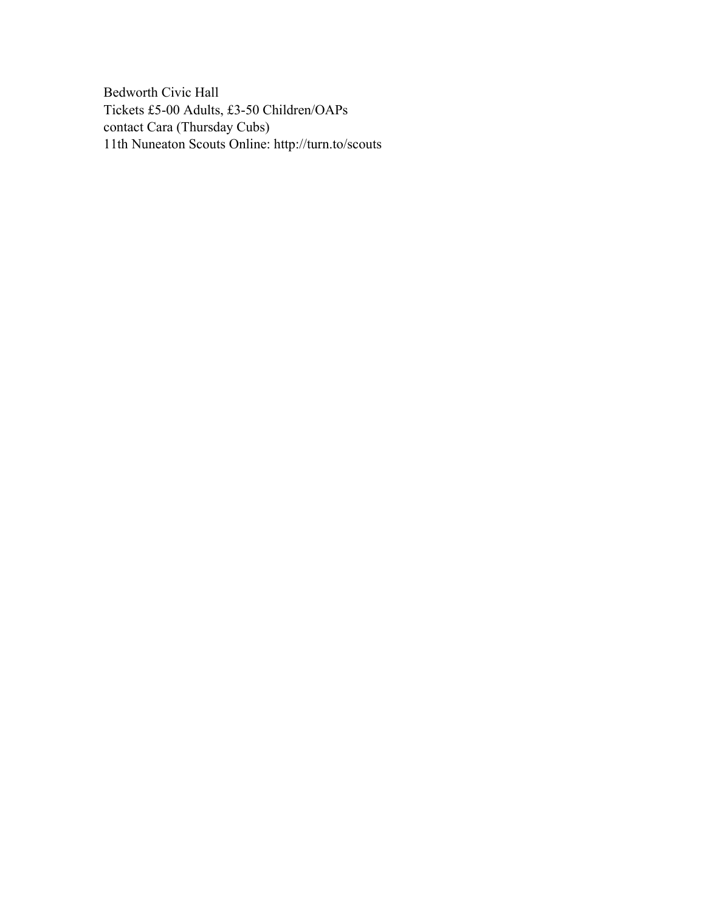Bedworth Civic Hall Tickets £5-00 Adults, £3-50 Children/OAPs contact Cara (Thursday Cubs) 11th Nuneaton Scouts Online: http://turn.to/scouts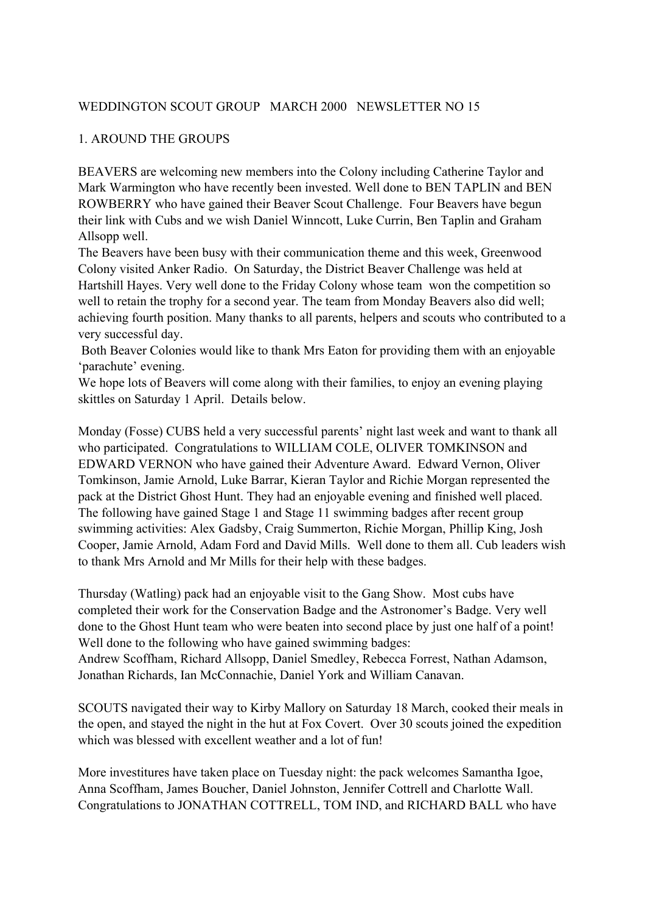# WEDDINGTON SCOUT GROUP MARCH 2000 NEWSLETTER NO 15

#### 1. AROUND THE GROUPS

BEAVERS are welcoming new members into the Colony including Catherine Taylor and Mark Warmington who have recently been invested. Well done to BEN TAPLIN and BEN ROWBERRY who have gained their Beaver Scout Challenge. Four Beavers have begun their link with Cubs and we wish Daniel Winncott, Luke Currin, Ben Taplin and Graham Allsopp well.

The Beavers have been busy with their communication theme and this week, Greenwood Colony visited Anker Radio. On Saturday, the District Beaver Challenge was held at Hartshill Hayes. Very well done to the Friday Colony whose team won the competition so well to retain the trophy for a second year. The team from Monday Beavers also did well; achieving fourth position. Many thanks to all parents, helpers and scouts who contributed to a very successful day.

 Both Beaver Colonies would like to thank Mrs Eaton for providing them with an enjoyable 'parachute' evening.

We hope lots of Beavers will come along with their families, to enjoy an evening playing skittles on Saturday 1 April. Details below.

Monday (Fosse) CUBS held a very successful parents' night last week and want to thank all who participated. Congratulations to WILLIAM COLE, OLIVER TOMKINSON and EDWARD VERNON who have gained their Adventure Award. Edward Vernon, Oliver Tomkinson, Jamie Arnold, Luke Barrar, Kieran Taylor and Richie Morgan represented the pack at the District Ghost Hunt. They had an enjoyable evening and finished well placed. The following have gained Stage 1 and Stage 11 swimming badges after recent group swimming activities: Alex Gadsby, Craig Summerton, Richie Morgan, Phillip King, Josh Cooper, Jamie Arnold, Adam Ford and David Mills. Well done to them all. Cub leaders wish to thank Mrs Arnold and Mr Mills for their help with these badges.

Thursday (Watling) pack had an enjoyable visit to the Gang Show. Most cubs have completed their work for the Conservation Badge and the Astronomer's Badge. Very well done to the Ghost Hunt team who were beaten into second place by just one half of a point! Well done to the following who have gained swimming badges: Andrew Scoffham, Richard Allsopp, Daniel Smedley, Rebecca Forrest, Nathan Adamson, Jonathan Richards, Ian McConnachie, Daniel York and William Canavan.

SCOUTS navigated their way to Kirby Mallory on Saturday 18 March, cooked their meals in the open, and stayed the night in the hut at Fox Covert. Over 30 scouts joined the expedition which was blessed with excellent weather and a lot of fun!

More investitures have taken place on Tuesday night: the pack welcomes Samantha Igoe, Anna Scoffham, James Boucher, Daniel Johnston, Jennifer Cottrell and Charlotte Wall. Congratulations to JONATHAN COTTRELL, TOM IND, and RICHARD BALL who have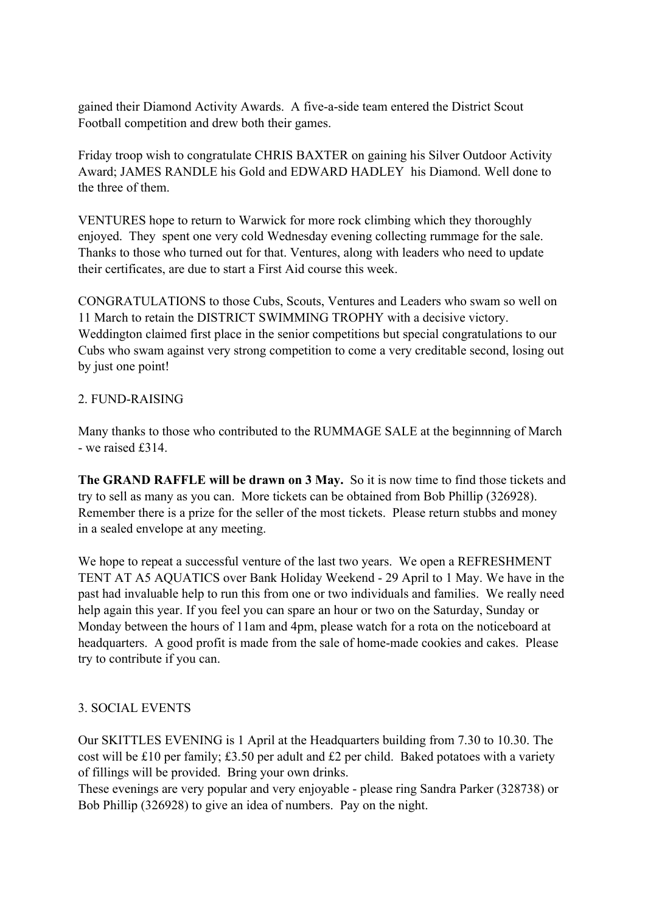gained their Diamond Activity Awards. A five-a-side team entered the District Scout Football competition and drew both their games.

Friday troop wish to congratulate CHRIS BAXTER on gaining his Silver Outdoor Activity Award; JAMES RANDLE his Gold and EDWARD HADLEY his Diamond. Well done to the three of them.

VENTURES hope to return to Warwick for more rock climbing which they thoroughly enjoyed. They spent one very cold Wednesday evening collecting rummage for the sale. Thanks to those who turned out for that. Ventures, along with leaders who need to update their certificates, are due to start a First Aid course this week.

CONGRATULATIONS to those Cubs, Scouts, Ventures and Leaders who swam so well on 11 March to retain the DISTRICT SWIMMING TROPHY with a decisive victory. Weddington claimed first place in the senior competitions but special congratulations to our Cubs who swam against very strong competition to come a very creditable second, losing out by just one point!

## 2. FUND-RAISING

Many thanks to those who contributed to the RUMMAGE SALE at the beginnning of March - we raised £314.

**The GRAND RAFFLE will be drawn on 3 May.** So it is now time to find those tickets and try to sell as many as you can. More tickets can be obtained from Bob Phillip (326928). Remember there is a prize for the seller of the most tickets. Please return stubbs and money in a sealed envelope at any meeting.

We hope to repeat a successful venture of the last two years. We open a REFRESHMENT TENT AT A5 AQUATICS over Bank Holiday Weekend - 29 April to 1 May. We have in the past had invaluable help to run this from one or two individuals and families. We really need help again this year. If you feel you can spare an hour or two on the Saturday, Sunday or Monday between the hours of 11am and 4pm, please watch for a rota on the noticeboard at headquarters. A good profit is made from the sale of home-made cookies and cakes. Please try to contribute if you can.

# 3. SOCIAL EVENTS

Our SKITTLES EVENING is 1 April at the Headquarters building from 7.30 to 10.30. The cost will be £10 per family; £3.50 per adult and £2 per child. Baked potatoes with a variety of fillings will be provided. Bring your own drinks.

These evenings are very popular and very enjoyable - please ring Sandra Parker (328738) or Bob Phillip (326928) to give an idea of numbers. Pay on the night.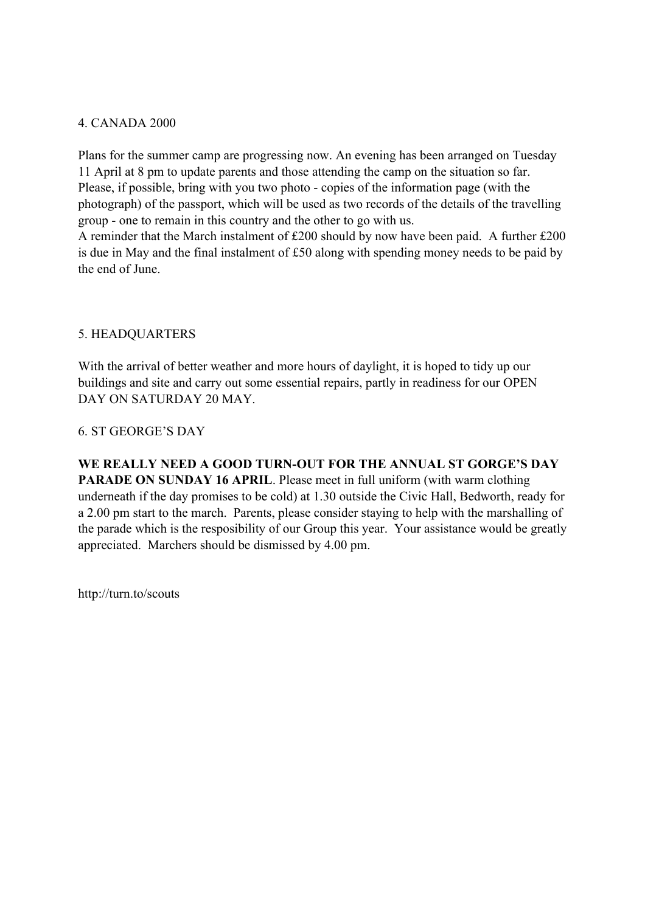#### 4. CANADA 2000

Plans for the summer camp are progressing now. An evening has been arranged on Tuesday 11 April at 8 pm to update parents and those attending the camp on the situation so far. Please, if possible, bring with you two photo - copies of the information page (with the photograph) of the passport, which will be used as two records of the details of the travelling group - one to remain in this country and the other to go with us.

A reminder that the March instalment of £200 should by now have been paid. A further £200 is due in May and the final instalment of £50 along with spending money needs to be paid by the end of June.

#### 5. HEADQUARTERS

With the arrival of better weather and more hours of daylight, it is hoped to tidy up our buildings and site and carry out some essential repairs, partly in readiness for our OPEN DAY ON SATURDAY 20 MAY.

#### 6. ST GEORGE'S DAY

**WE REALLY NEED A GOOD TURN-OUT FOR THE ANNUAL ST GORGE'S DAY PARADE ON SUNDAY 16 APRIL.** Please meet in full uniform (with warm clothing underneath if the day promises to be cold) at 1.30 outside the Civic Hall, Bedworth, ready for a 2.00 pm start to the march. Parents, please consider staying to help with the marshalling of the parade which is the resposibility of our Group this year. Your assistance would be greatly appreciated. Marchers should be dismissed by 4.00 pm.

http://turn.to/scouts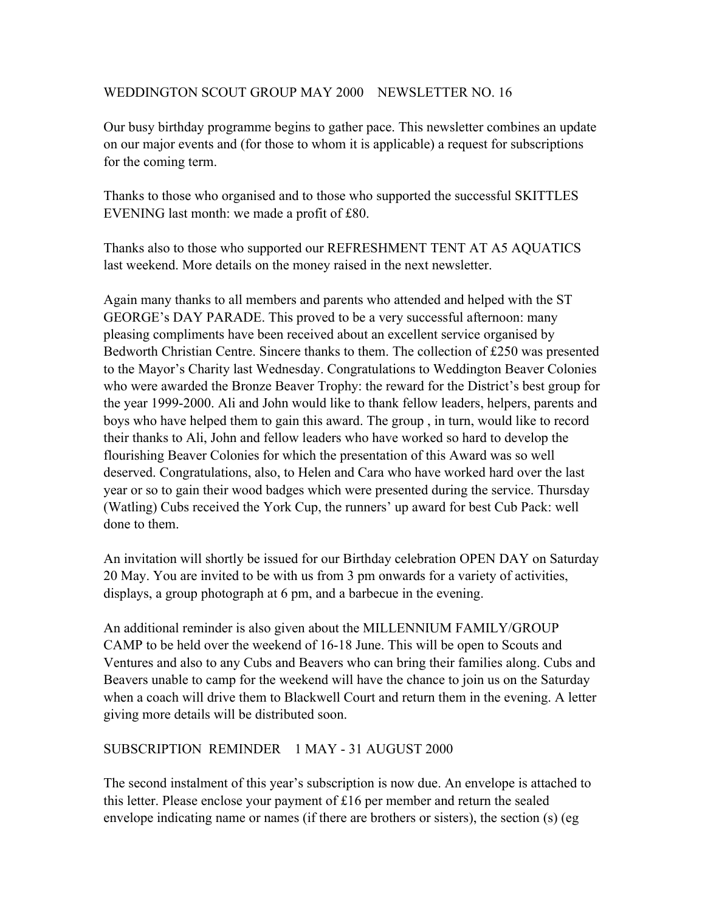# WEDDINGTON SCOUT GROUP MAY 2000 NEWSLETTER NO. 16

Our busy birthday programme begins to gather pace. This newsletter combines an update on our major events and (for those to whom it is applicable) a request for subscriptions for the coming term.

Thanks to those who organised and to those who supported the successful SKITTLES EVENING last month: we made a profit of £80.

Thanks also to those who supported our REFRESHMENT TENT AT A5 AQUATICS last weekend. More details on the money raised in the next newsletter.

Again many thanks to all members and parents who attended and helped with the ST GEORGE's DAY PARADE. This proved to be a very successful afternoon: many pleasing compliments have been received about an excellent service organised by Bedworth Christian Centre. Sincere thanks to them. The collection of £250 was presented to the Mayor's Charity last Wednesday. Congratulations to Weddington Beaver Colonies who were awarded the Bronze Beaver Trophy: the reward for the District's best group for the year 1999-2000. Ali and John would like to thank fellow leaders, helpers, parents and boys who have helped them to gain this award. The group , in turn, would like to record their thanks to Ali, John and fellow leaders who have worked so hard to develop the flourishing Beaver Colonies for which the presentation of this Award was so well deserved. Congratulations, also, to Helen and Cara who have worked hard over the last year or so to gain their wood badges which were presented during the service. Thursday (Watling) Cubs received the York Cup, the runners' up award for best Cub Pack: well done to them.

An invitation will shortly be issued for our Birthday celebration OPEN DAY on Saturday 20 May. You are invited to be with us from 3 pm onwards for a variety of activities, displays, a group photograph at 6 pm, and a barbecue in the evening.

An additional reminder is also given about the MILLENNIUM FAMILY/GROUP CAMP to be held over the weekend of 16-18 June. This will be open to Scouts and Ventures and also to any Cubs and Beavers who can bring their families along. Cubs and Beavers unable to camp for the weekend will have the chance to join us on the Saturday when a coach will drive them to Blackwell Court and return them in the evening. A letter giving more details will be distributed soon.

## SUBSCRIPTION REMINDER 1 MAY - 31 AUGUST 2000

The second instalment of this year's subscription is now due. An envelope is attached to this letter. Please enclose your payment of £16 per member and return the sealed envelope indicating name or names (if there are brothers or sisters), the section (s) (eg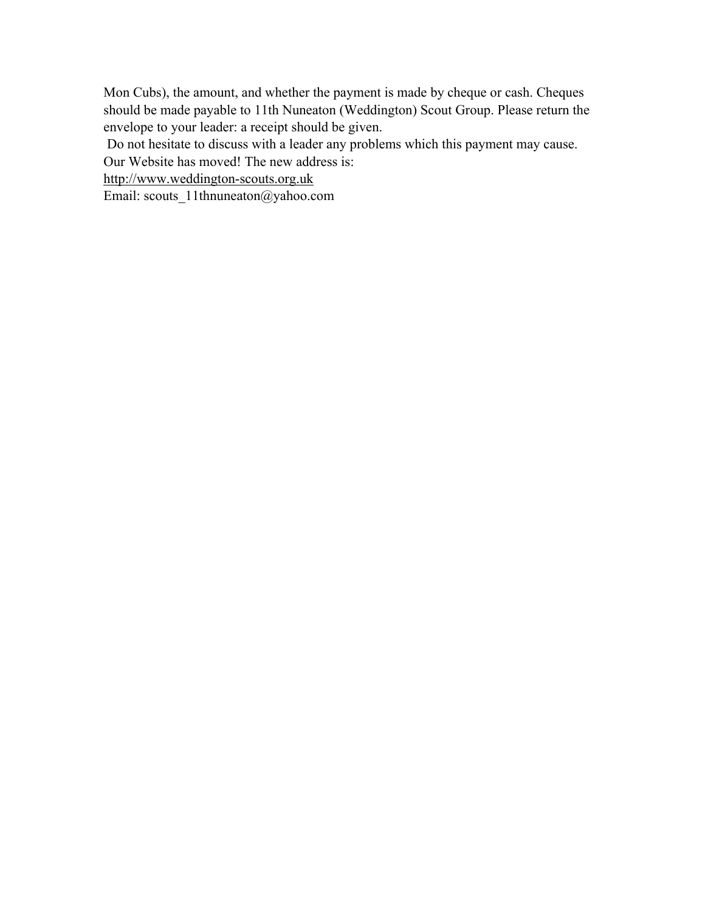Mon Cubs), the amount, and whether the payment is made by cheque or cash. Cheques should be made payable to 11th Nuneaton (Weddington) Scout Group. Please return the envelope to your leader: a receipt should be given.

Do not hesitate to discuss with a leader any problems which this payment may cause.

Our Website has moved! The new address is:

http://www.weddington-scouts.org.uk

Email: scouts\_11thnuneaton@yahoo.com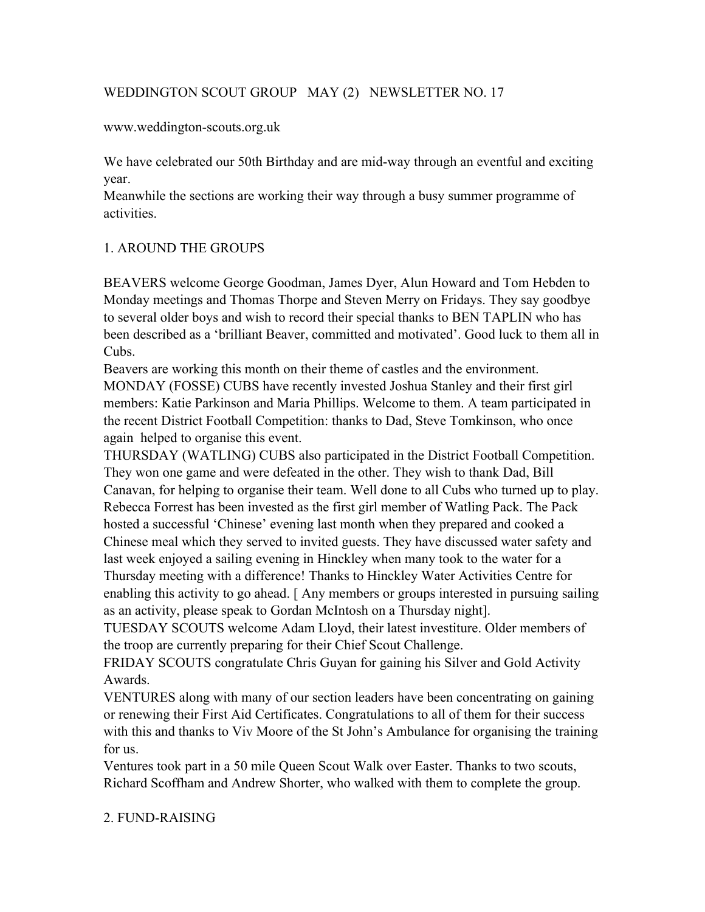# WEDDINGTON SCOUT GROUP MAY (2) NEWSLETTER NO. 17

www.weddington-scouts.org.uk

We have celebrated our 50th Birthday and are mid-way through an eventful and exciting year.

Meanwhile the sections are working their way through a busy summer programme of activities.

# 1. AROUND THE GROUPS

BEAVERS welcome George Goodman, James Dyer, Alun Howard and Tom Hebden to Monday meetings and Thomas Thorpe and Steven Merry on Fridays. They say goodbye to several older boys and wish to record their special thanks to BEN TAPLIN who has been described as a 'brilliant Beaver, committed and motivated'. Good luck to them all in Cubs.

Beavers are working this month on their theme of castles and the environment. MONDAY (FOSSE) CUBS have recently invested Joshua Stanley and their first girl members: Katie Parkinson and Maria Phillips. Welcome to them. A team participated in the recent District Football Competition: thanks to Dad, Steve Tomkinson, who once again helped to organise this event.

THURSDAY (WATLING) CUBS also participated in the District Football Competition. They won one game and were defeated in the other. They wish to thank Dad, Bill Canavan, for helping to organise their team. Well done to all Cubs who turned up to play. Rebecca Forrest has been invested as the first girl member of Watling Pack. The Pack hosted a successful 'Chinese' evening last month when they prepared and cooked a Chinese meal which they served to invited guests. They have discussed water safety and last week enjoyed a sailing evening in Hinckley when many took to the water for a Thursday meeting with a difference! Thanks to Hinckley Water Activities Centre for enabling this activity to go ahead. [ Any members or groups interested in pursuing sailing as an activity, please speak to Gordan McIntosh on a Thursday night].

TUESDAY SCOUTS welcome Adam Lloyd, their latest investiture. Older members of the troop are currently preparing for their Chief Scout Challenge.

FRIDAY SCOUTS congratulate Chris Guyan for gaining his Silver and Gold Activity Awards.

VENTURES along with many of our section leaders have been concentrating on gaining or renewing their First Aid Certificates. Congratulations to all of them for their success with this and thanks to Viv Moore of the St John's Ambulance for organising the training for us.

Ventures took part in a 50 mile Queen Scout Walk over Easter. Thanks to two scouts, Richard Scoffham and Andrew Shorter, who walked with them to complete the group.

## 2. FUND-RAISING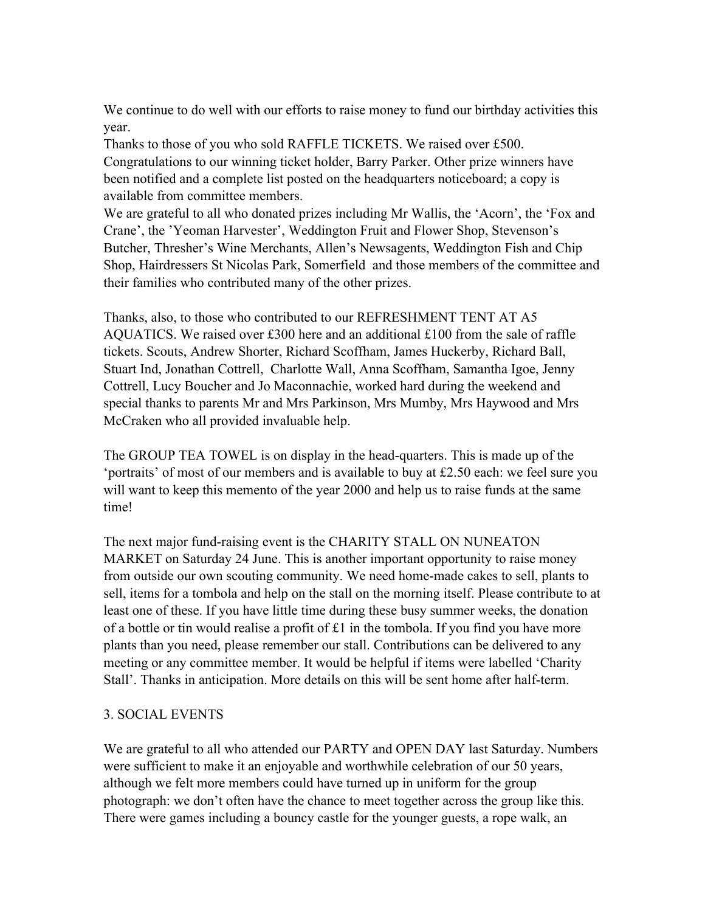We continue to do well with our efforts to raise money to fund our birthday activities this year.

Thanks to those of you who sold RAFFLE TICKETS. We raised over £500. Congratulations to our winning ticket holder, Barry Parker. Other prize winners have been notified and a complete list posted on the headquarters noticeboard; a copy is available from committee members.

We are grateful to all who donated prizes including Mr Wallis, the 'Acorn', the 'Fox and Crane', the 'Yeoman Harvester', Weddington Fruit and Flower Shop, Stevenson's Butcher, Thresher's Wine Merchants, Allen's Newsagents, Weddington Fish and Chip Shop, Hairdressers St Nicolas Park, Somerfield and those members of the committee and their families who contributed many of the other prizes.

Thanks, also, to those who contributed to our REFRESHMENT TENT AT A5 AQUATICS. We raised over £300 here and an additional  $\text{\pounds}100$  from the sale of raffle tickets. Scouts, Andrew Shorter, Richard Scoffham, James Huckerby, Richard Ball, Stuart Ind, Jonathan Cottrell, Charlotte Wall, Anna Scoffham, Samantha Igoe, Jenny Cottrell, Lucy Boucher and Jo Maconnachie, worked hard during the weekend and special thanks to parents Mr and Mrs Parkinson, Mrs Mumby, Mrs Haywood and Mrs McCraken who all provided invaluable help.

The GROUP TEA TOWEL is on display in the head-quarters. This is made up of the 'portraits' of most of our members and is available to buy at £2.50 each: we feel sure you will want to keep this memento of the year 2000 and help us to raise funds at the same time!

The next major fund-raising event is the CHARITY STALL ON NUNEATON MARKET on Saturday 24 June. This is another important opportunity to raise money from outside our own scouting community. We need home-made cakes to sell, plants to sell, items for a tombola and help on the stall on the morning itself. Please contribute to at least one of these. If you have little time during these busy summer weeks, the donation of a bottle or tin would realise a profit of £1 in the tombola. If you find you have more plants than you need, please remember our stall. Contributions can be delivered to any meeting or any committee member. It would be helpful if items were labelled 'Charity Stall'. Thanks in anticipation. More details on this will be sent home after half-term.

## 3. SOCIAL EVENTS

We are grateful to all who attended our PARTY and OPEN DAY last Saturday. Numbers were sufficient to make it an enjoyable and worthwhile celebration of our 50 years, although we felt more members could have turned up in uniform for the group photograph: we don't often have the chance to meet together across the group like this. There were games including a bouncy castle for the younger guests, a rope walk, an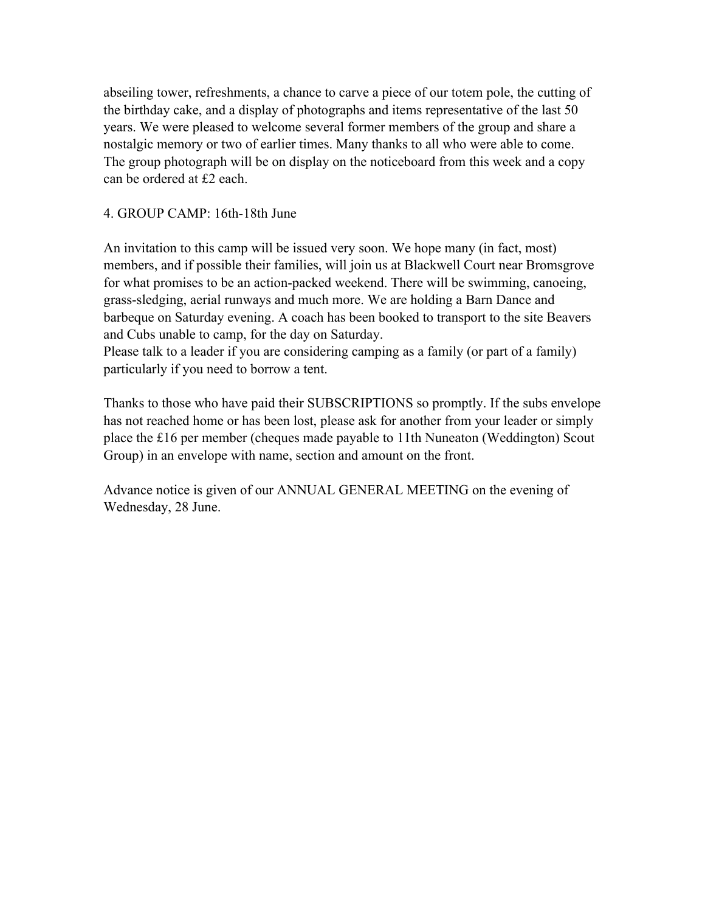abseiling tower, refreshments, a chance to carve a piece of our totem pole, the cutting of the birthday cake, and a display of photographs and items representative of the last 50 years. We were pleased to welcome several former members of the group and share a nostalgic memory or two of earlier times. Many thanks to all who were able to come. The group photograph will be on display on the noticeboard from this week and a copy can be ordered at £2 each.

#### 4. GROUP CAMP: 16th-18th June

An invitation to this camp will be issued very soon. We hope many (in fact, most) members, and if possible their families, will join us at Blackwell Court near Bromsgrove for what promises to be an action-packed weekend. There will be swimming, canoeing, grass-sledging, aerial runways and much more. We are holding a Barn Dance and barbeque on Saturday evening. A coach has been booked to transport to the site Beavers and Cubs unable to camp, for the day on Saturday.

Please talk to a leader if you are considering camping as a family (or part of a family) particularly if you need to borrow a tent.

Thanks to those who have paid their SUBSCRIPTIONS so promptly. If the subs envelope has not reached home or has been lost, please ask for another from your leader or simply place the £16 per member (cheques made payable to 11th Nuneaton (Weddington) Scout Group) in an envelope with name, section and amount on the front.

Advance notice is given of our ANNUAL GENERAL MEETING on the evening of Wednesday, 28 June.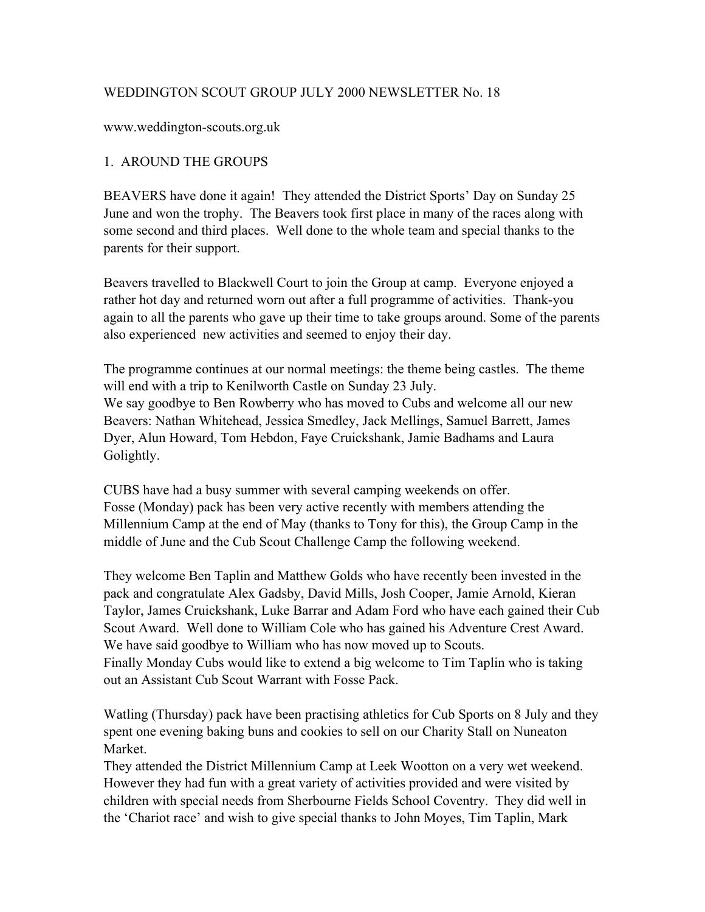## WEDDINGTON SCOUT GROUP JULY 2000 NEWSLETTER No. 18

www.weddington-scouts.org.uk

# 1. AROUND THE GROUPS

BEAVERS have done it again! They attended the District Sports' Day on Sunday 25 June and won the trophy. The Beavers took first place in many of the races along with some second and third places. Well done to the whole team and special thanks to the parents for their support.

Beavers travelled to Blackwell Court to join the Group at camp. Everyone enjoyed a rather hot day and returned worn out after a full programme of activities. Thank-you again to all the parents who gave up their time to take groups around. Some of the parents also experienced new activities and seemed to enjoy their day.

The programme continues at our normal meetings: the theme being castles. The theme will end with a trip to Kenilworth Castle on Sunday 23 July. We say goodbye to Ben Rowberry who has moved to Cubs and welcome all our new Beavers: Nathan Whitehead, Jessica Smedley, Jack Mellings, Samuel Barrett, James Dyer, Alun Howard, Tom Hebdon, Faye Cruickshank, Jamie Badhams and Laura Golightly.

CUBS have had a busy summer with several camping weekends on offer. Fosse (Monday) pack has been very active recently with members attending the Millennium Camp at the end of May (thanks to Tony for this), the Group Camp in the middle of June and the Cub Scout Challenge Camp the following weekend.

They welcome Ben Taplin and Matthew Golds who have recently been invested in the pack and congratulate Alex Gadsby, David Mills, Josh Cooper, Jamie Arnold, Kieran Taylor, James Cruickshank, Luke Barrar and Adam Ford who have each gained their Cub Scout Award. Well done to William Cole who has gained his Adventure Crest Award. We have said goodbye to William who has now moved up to Scouts. Finally Monday Cubs would like to extend a big welcome to Tim Taplin who is taking out an Assistant Cub Scout Warrant with Fosse Pack.

Watling (Thursday) pack have been practising athletics for Cub Sports on 8 July and they spent one evening baking buns and cookies to sell on our Charity Stall on Nuneaton Market.

They attended the District Millennium Camp at Leek Wootton on a very wet weekend. However they had fun with a great variety of activities provided and were visited by children with special needs from Sherbourne Fields School Coventry. They did well in the 'Chariot race' and wish to give special thanks to John Moyes, Tim Taplin, Mark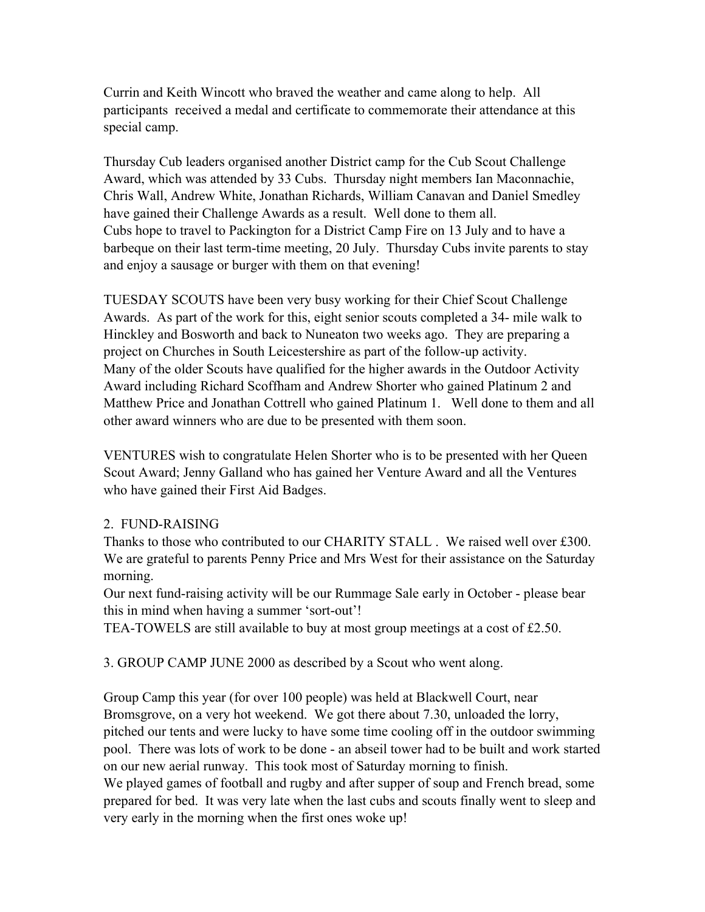Currin and Keith Wincott who braved the weather and came along to help. All participants received a medal and certificate to commemorate their attendance at this special camp.

Thursday Cub leaders organised another District camp for the Cub Scout Challenge Award, which was attended by 33 Cubs. Thursday night members Ian Maconnachie, Chris Wall, Andrew White, Jonathan Richards, William Canavan and Daniel Smedley have gained their Challenge Awards as a result. Well done to them all. Cubs hope to travel to Packington for a District Camp Fire on 13 July and to have a barbeque on their last term-time meeting, 20 July. Thursday Cubs invite parents to stay and enjoy a sausage or burger with them on that evening!

TUESDAY SCOUTS have been very busy working for their Chief Scout Challenge Awards. As part of the work for this, eight senior scouts completed a 34- mile walk to Hinckley and Bosworth and back to Nuneaton two weeks ago. They are preparing a project on Churches in South Leicestershire as part of the follow-up activity. Many of the older Scouts have qualified for the higher awards in the Outdoor Activity Award including Richard Scoffham and Andrew Shorter who gained Platinum 2 and Matthew Price and Jonathan Cottrell who gained Platinum 1. Well done to them and all other award winners who are due to be presented with them soon.

VENTURES wish to congratulate Helen Shorter who is to be presented with her Queen Scout Award; Jenny Galland who has gained her Venture Award and all the Ventures who have gained their First Aid Badges.

## 2. FUND-RAISING

Thanks to those who contributed to our CHARITY STALL . We raised well over £300. We are grateful to parents Penny Price and Mrs West for their assistance on the Saturday morning.

Our next fund-raising activity will be our Rummage Sale early in October - please bear this in mind when having a summer 'sort-out'!

TEA-TOWELS are still available to buy at most group meetings at a cost of £2.50.

3. GROUP CAMP JUNE 2000 as described by a Scout who went along.

Group Camp this year (for over 100 people) was held at Blackwell Court, near Bromsgrove, on a very hot weekend. We got there about 7.30, unloaded the lorry, pitched our tents and were lucky to have some time cooling off in the outdoor swimming pool. There was lots of work to be done - an abseil tower had to be built and work started on our new aerial runway. This took most of Saturday morning to finish. We played games of football and rugby and after supper of soup and French bread, some prepared for bed. It was very late when the last cubs and scouts finally went to sleep and very early in the morning when the first ones woke up!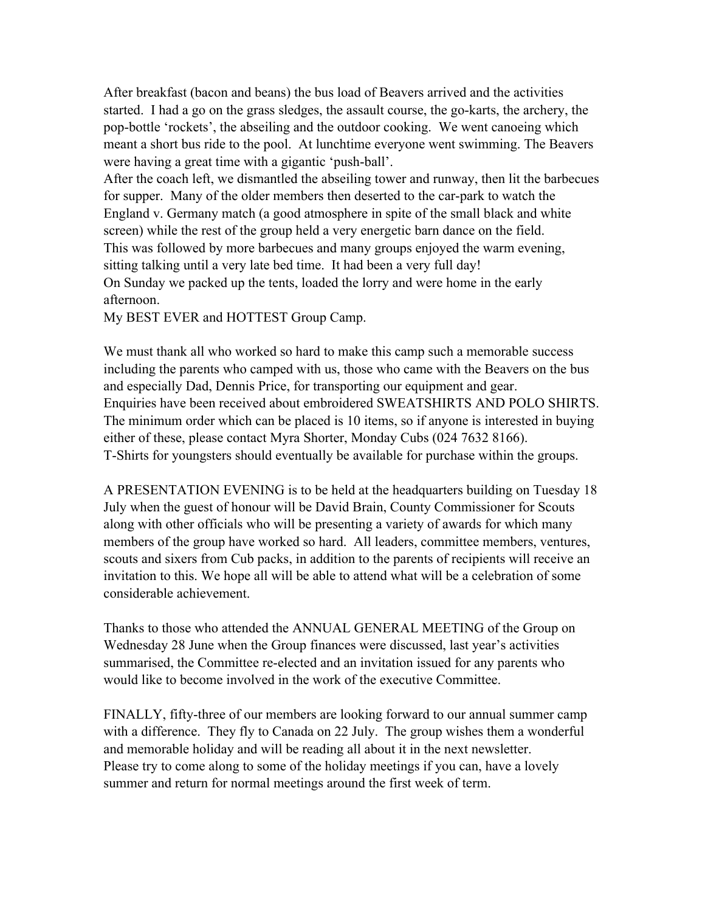After breakfast (bacon and beans) the bus load of Beavers arrived and the activities started. I had a go on the grass sledges, the assault course, the go-karts, the archery, the pop-bottle 'rockets', the abseiling and the outdoor cooking. We went canoeing which meant a short bus ride to the pool. At lunchtime everyone went swimming. The Beavers were having a great time with a gigantic 'push-ball'.

After the coach left, we dismantled the abseiling tower and runway, then lit the barbecues for supper. Many of the older members then deserted to the car-park to watch the England v. Germany match (a good atmosphere in spite of the small black and white screen) while the rest of the group held a very energetic barn dance on the field. This was followed by more barbecues and many groups enjoyed the warm evening, sitting talking until a very late bed time. It had been a very full day! On Sunday we packed up the tents, loaded the lorry and were home in the early

afternoon.

My BEST EVER and HOTTEST Group Camp.

We must thank all who worked so hard to make this camp such a memorable success including the parents who camped with us, those who came with the Beavers on the bus and especially Dad, Dennis Price, for transporting our equipment and gear. Enquiries have been received about embroidered SWEATSHIRTS AND POLO SHIRTS. The minimum order which can be placed is 10 items, so if anyone is interested in buying either of these, please contact Myra Shorter, Monday Cubs (024 7632 8166). T-Shirts for youngsters should eventually be available for purchase within the groups.

A PRESENTATION EVENING is to be held at the headquarters building on Tuesday 18 July when the guest of honour will be David Brain, County Commissioner for Scouts along with other officials who will be presenting a variety of awards for which many members of the group have worked so hard. All leaders, committee members, ventures, scouts and sixers from Cub packs, in addition to the parents of recipients will receive an invitation to this. We hope all will be able to attend what will be a celebration of some considerable achievement.

Thanks to those who attended the ANNUAL GENERAL MEETING of the Group on Wednesday 28 June when the Group finances were discussed, last year's activities summarised, the Committee re-elected and an invitation issued for any parents who would like to become involved in the work of the executive Committee.

FINALLY, fifty-three of our members are looking forward to our annual summer camp with a difference. They fly to Canada on 22 July. The group wishes them a wonderful and memorable holiday and will be reading all about it in the next newsletter. Please try to come along to some of the holiday meetings if you can, have a lovely summer and return for normal meetings around the first week of term.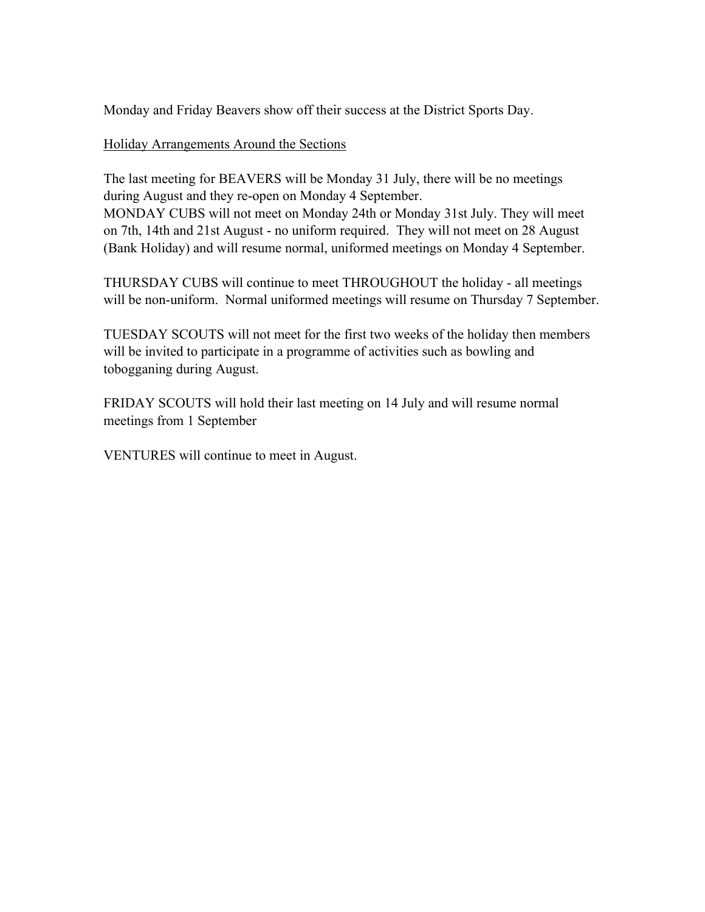Monday and Friday Beavers show off their success at the District Sports Day.

## Holiday Arrangements Around the Sections

The last meeting for BEAVERS will be Monday 31 July, there will be no meetings during August and they re-open on Monday 4 September. MONDAY CUBS will not meet on Monday 24th or Monday 31st July. They will meet on 7th, 14th and 21st August - no uniform required. They will not meet on 28 August (Bank Holiday) and will resume normal, uniformed meetings on Monday 4 September.

THURSDAY CUBS will continue to meet THROUGHOUT the holiday - all meetings will be non-uniform. Normal uniformed meetings will resume on Thursday 7 September.

TUESDAY SCOUTS will not meet for the first two weeks of the holiday then members will be invited to participate in a programme of activities such as bowling and tobogganing during August.

FRIDAY SCOUTS will hold their last meeting on 14 July and will resume normal meetings from 1 September

VENTURES will continue to meet in August.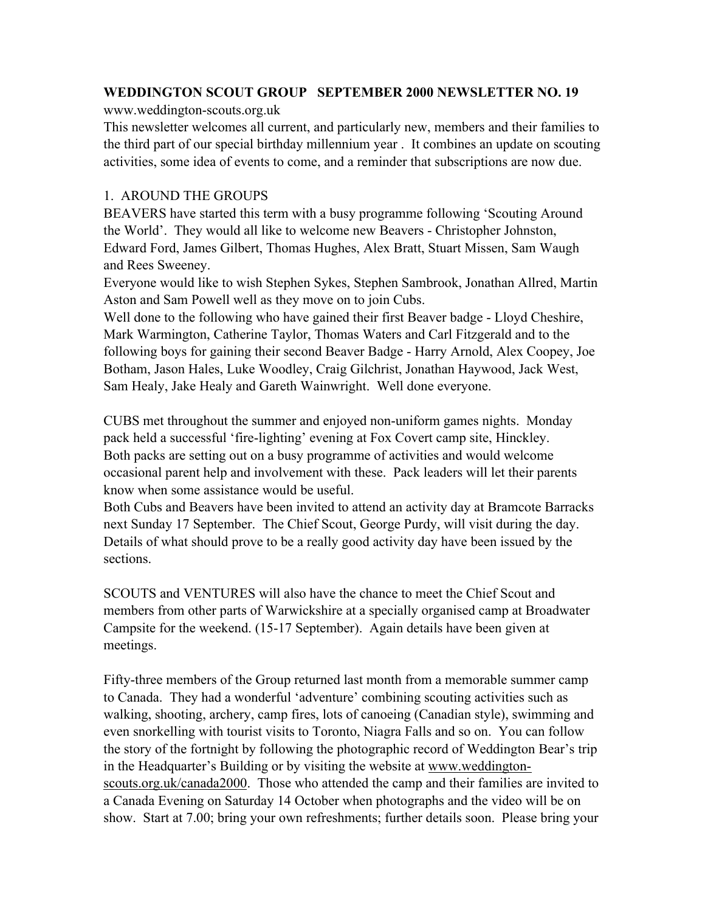# **WEDDINGTON SCOUT GROUP SEPTEMBER 2000 NEWSLETTER NO. 19**

www.weddington-scouts.org.uk

This newsletter welcomes all current, and particularly new, members and their families to the third part of our special birthday millennium year . It combines an update on scouting activities, some idea of events to come, and a reminder that subscriptions are now due.

# 1. AROUND THE GROUPS

BEAVERS have started this term with a busy programme following 'Scouting Around the World'. They would all like to welcome new Beavers - Christopher Johnston, Edward Ford, James Gilbert, Thomas Hughes, Alex Bratt, Stuart Missen, Sam Waugh and Rees Sweeney.

Everyone would like to wish Stephen Sykes, Stephen Sambrook, Jonathan Allred, Martin Aston and Sam Powell well as they move on to join Cubs.

Well done to the following who have gained their first Beaver badge - Lloyd Cheshire, Mark Warmington, Catherine Taylor, Thomas Waters and Carl Fitzgerald and to the following boys for gaining their second Beaver Badge - Harry Arnold, Alex Coopey, Joe Botham, Jason Hales, Luke Woodley, Craig Gilchrist, Jonathan Haywood, Jack West, Sam Healy, Jake Healy and Gareth Wainwright. Well done everyone.

CUBS met throughout the summer and enjoyed non-uniform games nights. Monday pack held a successful 'fire-lighting' evening at Fox Covert camp site, Hinckley. Both packs are setting out on a busy programme of activities and would welcome occasional parent help and involvement with these. Pack leaders will let their parents know when some assistance would be useful.

Both Cubs and Beavers have been invited to attend an activity day at Bramcote Barracks next Sunday 17 September. The Chief Scout, George Purdy, will visit during the day. Details of what should prove to be a really good activity day have been issued by the sections.

SCOUTS and VENTURES will also have the chance to meet the Chief Scout and members from other parts of Warwickshire at a specially organised camp at Broadwater Campsite for the weekend. (15-17 September). Again details have been given at meetings.

Fifty-three members of the Group returned last month from a memorable summer camp to Canada. They had a wonderful 'adventure' combining scouting activities such as walking, shooting, archery, camp fires, lots of canoeing (Canadian style), swimming and even snorkelling with tourist visits to Toronto, Niagra Falls and so on. You can follow the story of the fortnight by following the photographic record of Weddington Bear's trip in the Headquarter's Building or by visiting the website at www.weddingtonscouts.org.uk/canada2000. Those who attended the camp and their families are invited to a Canada Evening on Saturday 14 October when photographs and the video will be on show. Start at 7.00; bring your own refreshments; further details soon. Please bring your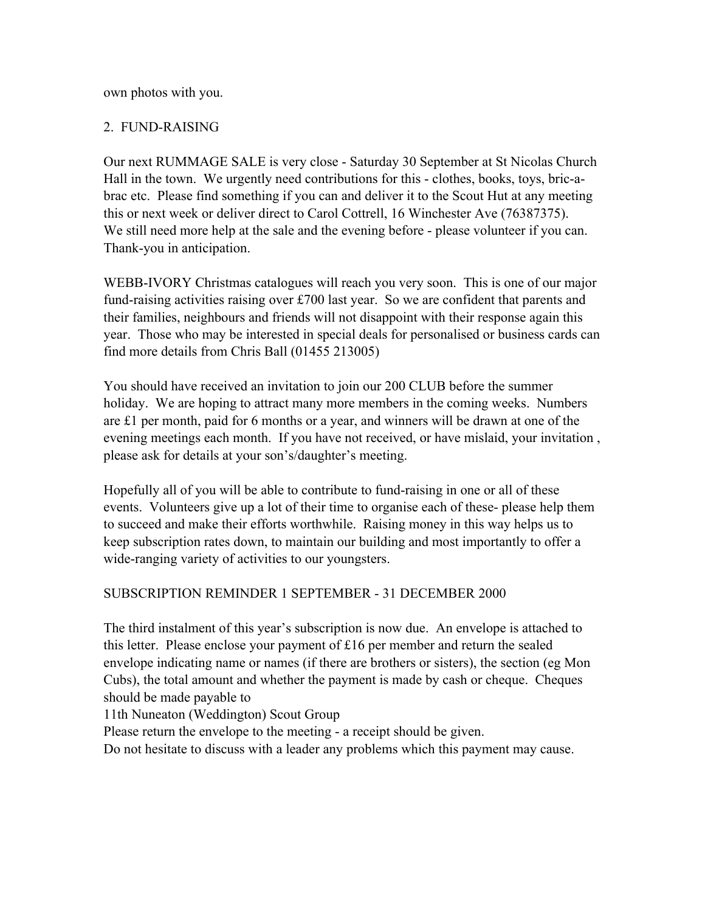own photos with you.

## 2. FUND-RAISING

Our next RUMMAGE SALE is very close - Saturday 30 September at St Nicolas Church Hall in the town. We urgently need contributions for this - clothes, books, toys, bric-abrac etc. Please find something if you can and deliver it to the Scout Hut at any meeting this or next week or deliver direct to Carol Cottrell, 16 Winchester Ave (76387375). We still need more help at the sale and the evening before - please volunteer if you can. Thank-you in anticipation.

WEBB-IVORY Christmas catalogues will reach you very soon. This is one of our major fund-raising activities raising over £700 last year. So we are confident that parents and their families, neighbours and friends will not disappoint with their response again this year. Those who may be interested in special deals for personalised or business cards can find more details from Chris Ball (01455 213005)

You should have received an invitation to join our 200 CLUB before the summer holiday. We are hoping to attract many more members in the coming weeks. Numbers are £1 per month, paid for 6 months or a year, and winners will be drawn at one of the evening meetings each month. If you have not received, or have mislaid, your invitation , please ask for details at your son's/daughter's meeting.

Hopefully all of you will be able to contribute to fund-raising in one or all of these events. Volunteers give up a lot of their time to organise each of these- please help them to succeed and make their efforts worthwhile. Raising money in this way helps us to keep subscription rates down, to maintain our building and most importantly to offer a wide-ranging variety of activities to our youngsters.

## SUBSCRIPTION REMINDER 1 SEPTEMBER - 31 DECEMBER 2000

The third instalment of this year's subscription is now due. An envelope is attached to this letter. Please enclose your payment of £16 per member and return the sealed envelope indicating name or names (if there are brothers or sisters), the section (eg Mon Cubs), the total amount and whether the payment is made by cash or cheque. Cheques should be made payable to

11th Nuneaton (Weddington) Scout Group

Please return the envelope to the meeting - a receipt should be given.

Do not hesitate to discuss with a leader any problems which this payment may cause.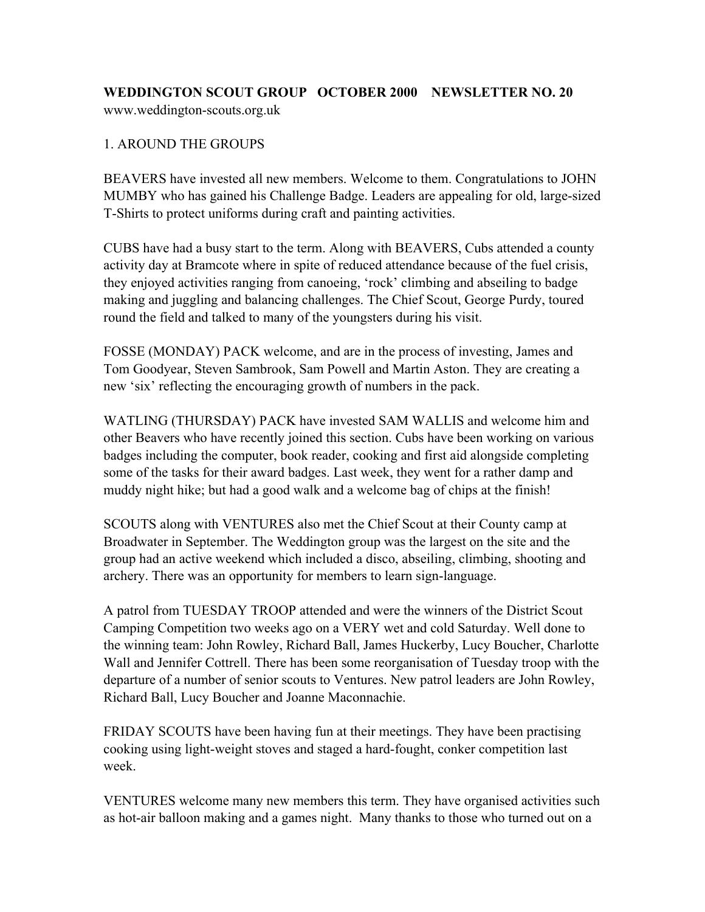#### **WEDDINGTON SCOUT GROUP OCTOBER 2000 NEWSLETTER NO. 20** www.weddington-scouts.org.uk

## 1. AROUND THE GROUPS

BEAVERS have invested all new members. Welcome to them. Congratulations to JOHN MUMBY who has gained his Challenge Badge. Leaders are appealing for old, large-sized T-Shirts to protect uniforms during craft and painting activities.

CUBS have had a busy start to the term. Along with BEAVERS, Cubs attended a county activity day at Bramcote where in spite of reduced attendance because of the fuel crisis, they enjoyed activities ranging from canoeing, 'rock' climbing and abseiling to badge making and juggling and balancing challenges. The Chief Scout, George Purdy, toured round the field and talked to many of the youngsters during his visit.

FOSSE (MONDAY) PACK welcome, and are in the process of investing, James and Tom Goodyear, Steven Sambrook, Sam Powell and Martin Aston. They are creating a new 'six' reflecting the encouraging growth of numbers in the pack.

WATLING (THURSDAY) PACK have invested SAM WALLIS and welcome him and other Beavers who have recently joined this section. Cubs have been working on various badges including the computer, book reader, cooking and first aid alongside completing some of the tasks for their award badges. Last week, they went for a rather damp and muddy night hike; but had a good walk and a welcome bag of chips at the finish!

SCOUTS along with VENTURES also met the Chief Scout at their County camp at Broadwater in September. The Weddington group was the largest on the site and the group had an active weekend which included a disco, abseiling, climbing, shooting and archery. There was an opportunity for members to learn sign-language.

A patrol from TUESDAY TROOP attended and were the winners of the District Scout Camping Competition two weeks ago on a VERY wet and cold Saturday. Well done to the winning team: John Rowley, Richard Ball, James Huckerby, Lucy Boucher, Charlotte Wall and Jennifer Cottrell. There has been some reorganisation of Tuesday troop with the departure of a number of senior scouts to Ventures. New patrol leaders are John Rowley, Richard Ball, Lucy Boucher and Joanne Maconnachie.

FRIDAY SCOUTS have been having fun at their meetings. They have been practising cooking using light-weight stoves and staged a hard-fought, conker competition last week.

VENTURES welcome many new members this term. They have organised activities such as hot-air balloon making and a games night. Many thanks to those who turned out on a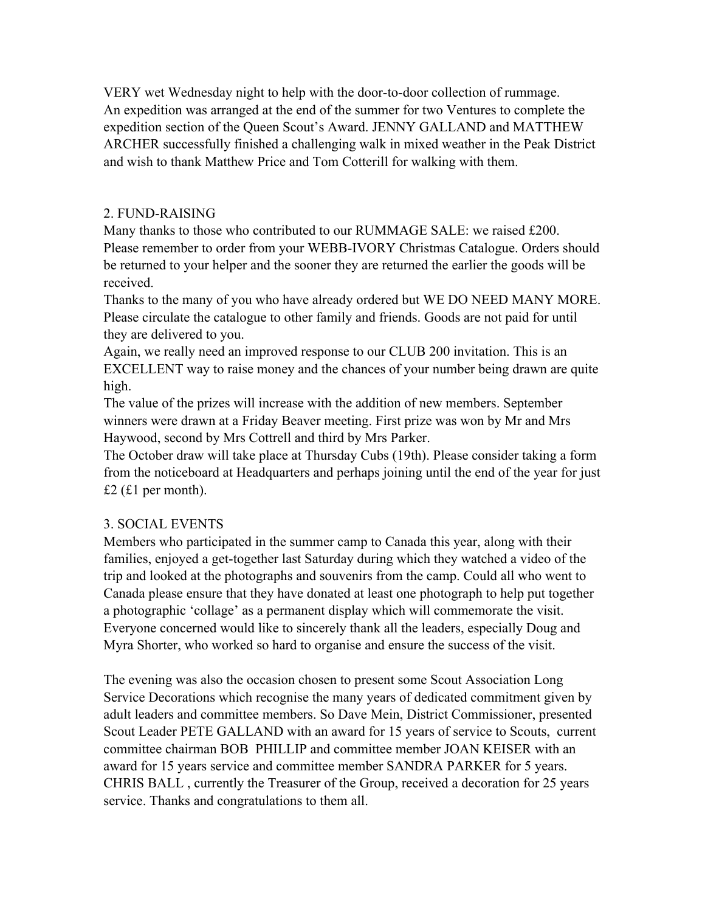VERY wet Wednesday night to help with the door-to-door collection of rummage. An expedition was arranged at the end of the summer for two Ventures to complete the expedition section of the Queen Scout's Award. JENNY GALLAND and MATTHEW ARCHER successfully finished a challenging walk in mixed weather in the Peak District and wish to thank Matthew Price and Tom Cotterill for walking with them.

#### 2. FUND-RAISING

Many thanks to those who contributed to our RUMMAGE SALE: we raised £200. Please remember to order from your WEBB-IVORY Christmas Catalogue. Orders should be returned to your helper and the sooner they are returned the earlier the goods will be received.

Thanks to the many of you who have already ordered but WE DO NEED MANY MORE. Please circulate the catalogue to other family and friends. Goods are not paid for until they are delivered to you.

Again, we really need an improved response to our CLUB 200 invitation. This is an EXCELLENT way to raise money and the chances of your number being drawn are quite high.

The value of the prizes will increase with the addition of new members. September winners were drawn at a Friday Beaver meeting. First prize was won by Mr and Mrs Haywood, second by Mrs Cottrell and third by Mrs Parker.

The October draw will take place at Thursday Cubs (19th). Please consider taking a form from the noticeboard at Headquarters and perhaps joining until the end of the year for just £2 (£1 per month).

## 3. SOCIAL EVENTS

Members who participated in the summer camp to Canada this year, along with their families, enjoyed a get-together last Saturday during which they watched a video of the trip and looked at the photographs and souvenirs from the camp. Could all who went to Canada please ensure that they have donated at least one photograph to help put together a photographic 'collage' as a permanent display which will commemorate the visit. Everyone concerned would like to sincerely thank all the leaders, especially Doug and Myra Shorter, who worked so hard to organise and ensure the success of the visit.

The evening was also the occasion chosen to present some Scout Association Long Service Decorations which recognise the many years of dedicated commitment given by adult leaders and committee members. So Dave Mein, District Commissioner, presented Scout Leader PETE GALLAND with an award for 15 years of service to Scouts, current committee chairman BOB PHILLIP and committee member JOAN KEISER with an award for 15 years service and committee member SANDRA PARKER for 5 years. CHRIS BALL , currently the Treasurer of the Group, received a decoration for 25 years service. Thanks and congratulations to them all.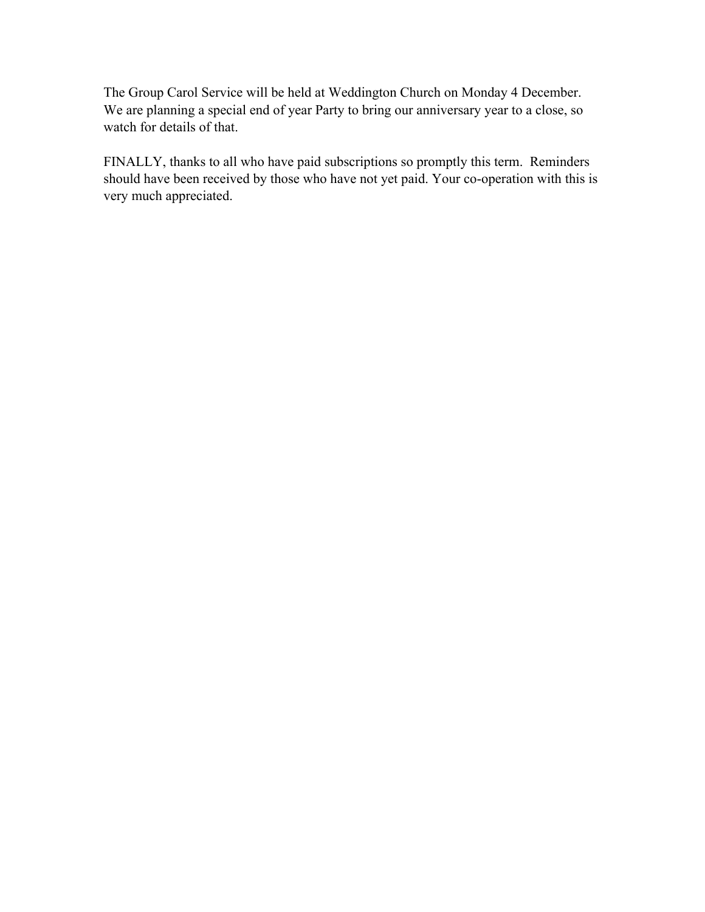The Group Carol Service will be held at Weddington Church on Monday 4 December. We are planning a special end of year Party to bring our anniversary year to a close, so watch for details of that.

FINALLY, thanks to all who have paid subscriptions so promptly this term. Reminders should have been received by those who have not yet paid. Your co-operation with this is very much appreciated.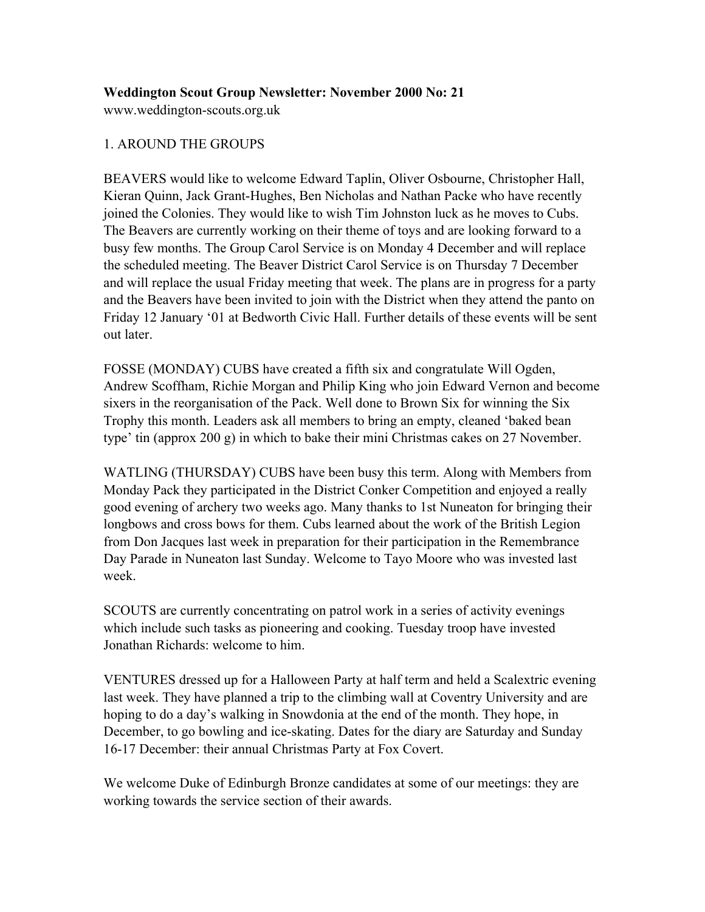# **Weddington Scout Group Newsletter: November 2000 No: 21**

www.weddington-scouts.org.uk

# 1. AROUND THE GROUPS

BEAVERS would like to welcome Edward Taplin, Oliver Osbourne, Christopher Hall, Kieran Quinn, Jack Grant-Hughes, Ben Nicholas and Nathan Packe who have recently joined the Colonies. They would like to wish Tim Johnston luck as he moves to Cubs. The Beavers are currently working on their theme of toys and are looking forward to a busy few months. The Group Carol Service is on Monday 4 December and will replace the scheduled meeting. The Beaver District Carol Service is on Thursday 7 December and will replace the usual Friday meeting that week. The plans are in progress for a party and the Beavers have been invited to join with the District when they attend the panto on Friday 12 January '01 at Bedworth Civic Hall. Further details of these events will be sent out later.

FOSSE (MONDAY) CUBS have created a fifth six and congratulate Will Ogden, Andrew Scoffham, Richie Morgan and Philip King who join Edward Vernon and become sixers in the reorganisation of the Pack. Well done to Brown Six for winning the Six Trophy this month. Leaders ask all members to bring an empty, cleaned 'baked bean type' tin (approx 200 g) in which to bake their mini Christmas cakes on 27 November.

WATLING (THURSDAY) CUBS have been busy this term. Along with Members from Monday Pack they participated in the District Conker Competition and enjoyed a really good evening of archery two weeks ago. Many thanks to 1st Nuneaton for bringing their longbows and cross bows for them. Cubs learned about the work of the British Legion from Don Jacques last week in preparation for their participation in the Remembrance Day Parade in Nuneaton last Sunday. Welcome to Tayo Moore who was invested last week.

SCOUTS are currently concentrating on patrol work in a series of activity evenings which include such tasks as pioneering and cooking. Tuesday troop have invested Jonathan Richards: welcome to him.

VENTURES dressed up for a Halloween Party at half term and held a Scalextric evening last week. They have planned a trip to the climbing wall at Coventry University and are hoping to do a day's walking in Snowdonia at the end of the month. They hope, in December, to go bowling and ice-skating. Dates for the diary are Saturday and Sunday 16-17 December: their annual Christmas Party at Fox Covert.

We welcome Duke of Edinburgh Bronze candidates at some of our meetings: they are working towards the service section of their awards.